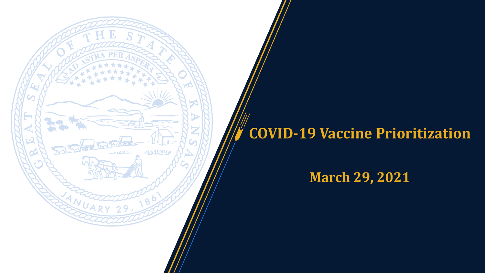# **COVID-19 Vaccine Prioritization**

い取りせいいん

وا الحملية

## **March 29, 2021**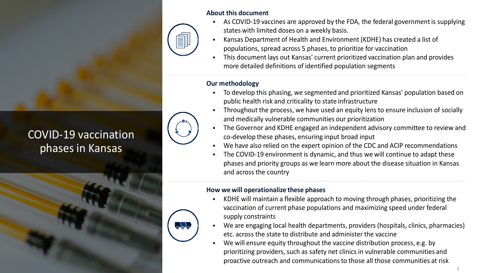

### COVID-19 vaccination phases in Kansas



#### **About this document**

- As COVID-19 vaccines are approved by the FDA, the federal government is supplying states with limited doses on a weekly basis.
- Kansas Department of Health and Environment (KDHE) has created a list of populations, spread across 5 phases, to prioritize for vaccination
- This document lays out Kansas' current prioritized vaccination plan and provides more detailed definitions of identified population segments

#### **Our methodology**

 $\alpha$ ala

- To develop this phasing, we segmented and prioritized Kansas' population based on public health risk and criticality to state infrastructure
- Throughout the process, we have used an equity lens to ensure inclusion of socially and medically vulnerable communities our prioritization
- The Governor and KDHE engaged an independent advisory committee to review and co-develop these phases, ensuring input broad input
- We have also relied on the expert opinion of the CDC and ACIP recommendations
- The COVID-19 environment is dynamic, and thus we will continue to adapt these phases and priority groups as we learn more about the disease situation in Kansas and across the country

#### **How we will operationalize these phases**

- KDHE will maintain a flexible approach to moving through phases, prioritizing the vaccination of current phase populations and maximizing speed under federal supply constraints
- We are engaging local health departments, providers (hospitals, clinics, pharmacies) etc. across the state to distribute and administer the vaccine
- We will ensure equity throughout the vaccine distribution process, e.g. by prioritizing providers, such as safety net clinics in vulnerable communities and proactive outreach and communications to those all those communities at risk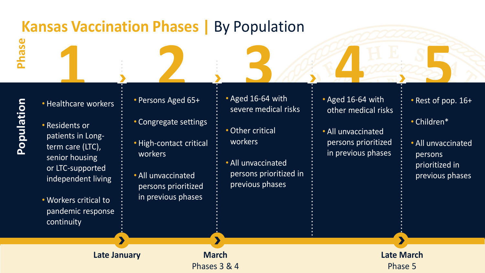# **Kansas Vaccination Phases | By Population**

**Population** Population

**Phase**

- Healthcare workers
- Residents or patients in Longterm care (LTC), senior housing or LTC-supported independent living
- Workers critical to pandemic response continuity
- Persons Aged 65+
- Congregate settings
- High-contact critical workers
- All unvaccinated persons prioritized in previous phases

**Late January March** 

Phases 3 & 4

- **1 2 3 4 5** • Aged 16-64 with severe medical risks
	- Other critical workers
	- All unvaccinated persons prioritized in previous phases
- Aged 16-64 with other medical risks
- All unvaccinated persons prioritized in previous phases
- Rest of pop. 16+
- Children\*
- All unvaccinated persons prioritized in previous phases

**Late March** Phase 5

 $\blacktriangleright$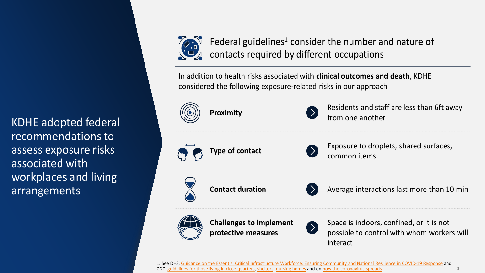KDHE adopted federal recommendations to assess exposure risks associated with workplaces and living arrangements



Federal guidelines<sup>1</sup> consider the number and nature of contacts required by different occupations

In addition to health risks associated with **clinical outcomes and death**, KDHE considered the following exposure-related risks in our approach





**Proximity Proximity Residents and staff are less than 6ft away** from one another





**Type of contact Exposure to droplets, shared surfaces,** common items





**Contact duration Average interactions last more than 10 min** 



**Challenges to implement protective measures**



Space is indoors, confined, or it is not possible to control with whom workers will interact

3

1. See DHS, [Guidance on the Essential Critical Infrastructure Workforce: Ensuring Community and National Resilience in COVID-19 Response](https://www.cisa.gov/sites/default/files/publications/ECIW_4.0_Guidance_on_Essential_Critical_Infrastructure_Workers_Final3_508_0.pdf) and CDC [guidelines for those living in close quarters](https://www.cdc.gov/coronavirus/2019-ncov/daily-life-coping/living-in-close-quarters.html), [shelters](https://www.cdc.gov/coronavirus/2019-ncov/community/homeless-shelters/plan-prepare-respond.html), [nursing homes](https://www.cdc.gov/coronavirus/2019-ncov/hcp/nursing-homes-responding.html) and on [how the coronavirus spreads](https://www.cdc.gov/coronavirus/2019-ncov/index.html)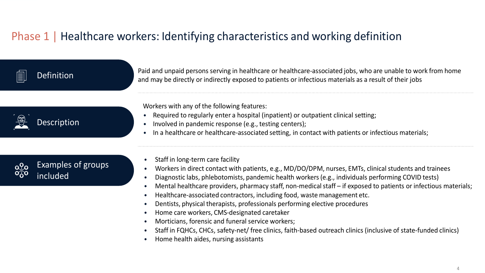### Phase 1 | Healthcare workers: Identifying characteristics and working definition

### **Definition**

Paid and unpaid persons serving in healthcare or healthcare-associated jobs, who are unable to work from home and may be directly or indirectly exposed to patients or infectious materials as a result of their jobs



Workers with any of the following features:

- Required to regularly enter a hospital (inpatient) or outpatient clinical setting;
- Involved in pandemic response (e.g., testing centers);
- In a healthcare or healthcare-associated setting, in contact with patients or infectious materials;

#### Examples of groups  $\Omega_{\Omega}$ included

- Staff in long-term care facility
- Workers in direct contact with patients, e.g., MD/DO/DPM, nurses, EMTs, clinical students and trainees
- Diagnostic labs, phlebotomists, pandemic health workers (e.g., individuals performing COVID tests)
- Mental healthcare providers, pharmacy staff, non-medical staff if exposed to patients or infectious materials;
- Healthcare-associated contractors, including food, waste management etc.
- Dentists, physical therapists, professionals performing elective procedures
- Home care workers, CMS-designated caretaker
- Morticians, forensic and funeral service workers;
- Staff in FQHCs, CHCs, safety-net/ free clinics, faith-based outreach clinics (inclusive of state-funded clinics)
- Home health aides, nursing assistants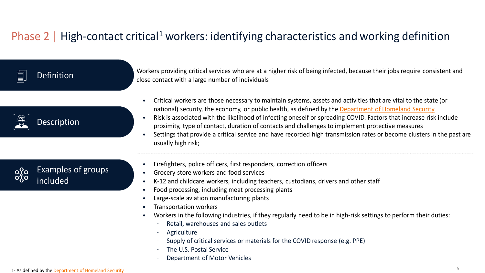### Phase 2 | High-contact critical<sup>1</sup> workers: identifying characteristics and working definition

| 圁 | <b>Definition</b>                     | Workers providing critical services who are at a higher risk of being infected, because their jobs require consistent and<br>close contact with a large number of individuals                                                                                                                                                                                                                                                                                                                                                                                                                    |
|---|---------------------------------------|--------------------------------------------------------------------------------------------------------------------------------------------------------------------------------------------------------------------------------------------------------------------------------------------------------------------------------------------------------------------------------------------------------------------------------------------------------------------------------------------------------------------------------------------------------------------------------------------------|
|   | <b>Description</b>                    | Critical workers are those necessary to maintain systems, assets and activities that are vital to the state (or<br>national) security, the economy, or public health, as defined by the Department of Homeland Security<br>Risk is associated with the likelihood of infecting oneself or spreading COVID. Factors that increase risk include<br>proximity, type of contact, duration of contacts and challenges to implement protective measures<br>Settings that provide a critical service and have recorded high transmission rates or become clusters in the past are<br>usually high risk; |
|   | <b>Examples of groups</b><br>included | Firefighters, police officers, first responders, correction officers<br>Grocery store workers and food services<br>K-12 and childcare workers, including teachers, custodians, drivers and other staff<br>Food processing, including meat processing plants<br>Large-scale aviation manufacturing plants<br>Transportation workers<br>Workers in the following industries, if they regularly need to be in high-risk settings to perform their duties:<br>Retail, warehouses and sales outlets<br>Agriculture<br>Supply of critical services or materials for the COVID response (e.g. PPE)      |

- The U.S. Postal Service
- 
- Department of Motor Vehicles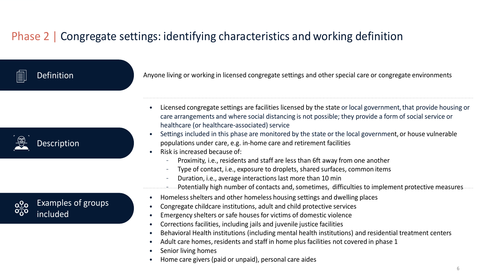### Phase 2 | Congregate settings: identifying characteristics and working definition

**Definition** 

Anyone living or working in licensed congregate settings and other special care or congregate environments

Description

Examples of groups included

- Licensed congregate settings are facilities licensed by the state or local government, that provide housing or care arrangements and where social distancing is not possible; they provide a form of social service or healthcare (or healthcare-associated) service
- Settings included in this phase are monitored by the state or the local government, or house vulnerable populations under care, e.g. in-home care and retirement facilities
- Risk is increased because of:
	- Proximity, i.e., residents and staff are less than 6ft away from one another
	- Type of contact, i.e., exposure to droplets, shared surfaces, common items
	- Duration, i.e., average interactions last more than 10 min
	- Potentially high number of contacts and, sometimes, difficulties to implement protective measures
- Homeless shelters and other homeless housing settings and dwelling places
- Congregate childcare institutions, adult and child protective services
- Emergency shelters or safe houses for victims of domestic violence
- Corrections facilities, including jails and juvenile justice facilities
- Behavioral Health institutions (including mental health institutions) and residential treatment centers
- Adult care homes, residents and staff in home plus facilities not covered in phase 1
- Senior living homes
- Home care givers (paid or unpaid), personal care aides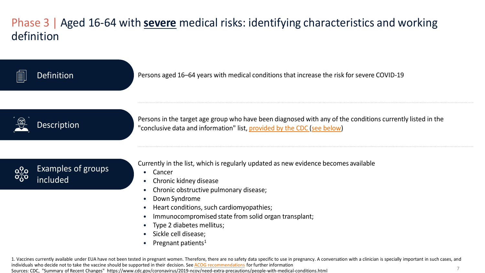### Phase 3 | Aged 16-64 with **severe** medical risks: identifying characteristics and working definition



7 1. Vaccines currently available under EUA have not been tested in pregnant women. Therefore, there are no safety data specific to use in pregnancy. A conversation with a clinician is specially important in such cases, and individuals who decide not to take the vaccine should be supported in their decision. See [ACOG recommendations](https://www.acog.org/clinical/clinical-guidance/practice-advisory/articles/2020/12/vaccinating-pregnant-and-lactating-patients-against-covid-19) for further information Sources: CDC, "Summary of Recent Changes" https://www.cdc.gov/coronavirus/2019-ncov/need-extra-precautions/people-with-medical-conditions.html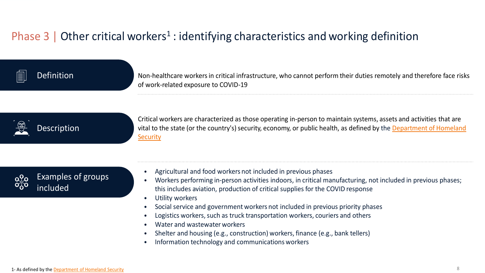### Phase 3 | Other critical workers<sup>1</sup> : identifying characteristics and working definition

### **Definition**

Non-healthcare workers in critical infrastructure, who cannot perform their duties remotely and therefore face risks of work-related exposure to COVID-19

## Description

Critical workers are characterized as those operating in-person to maintain systems, assets and activities that are [vital to the state \(or the country's\) security, economy, or public health, as defined by the Department of Homeland](https://www.cisa.gov/identifying-critical-infrastructure-during-covid-19)  **Security** 

![](_page_8_Picture_5.jpeg)

- Agricultural and food workers not included in previous phases
- Workers performing in-person activities indoors, in critical manufacturing, not included in previous phases; this includes aviation, production of critical supplies for the COVID response
- Utility workers
- Social service and government workers not included in previous priority phases
- Logistics workers, such as truck transportation workers, couriers and others
- Water and wastewater workers
- Shelter and housing (e.g., construction) workers, finance (e.g., bank tellers)
- Information technology and communications workers